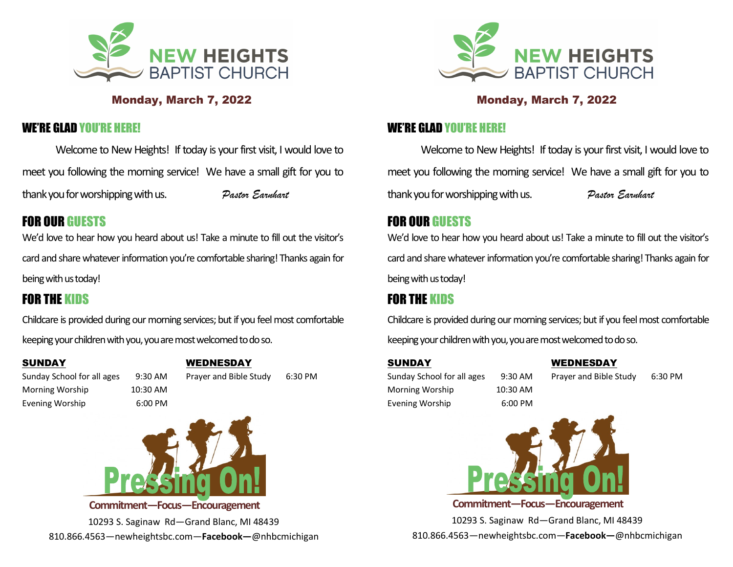

### Monday, March 7, 2022

### WE'RE GLAD YOU'RE HERE!

Welcome to New Heights! If today is your first visit, I would love to meet you following the morning service! We have a small gift for you to thank you for worshipping with us. *Pastor Earnhart*

# FOR OUR GUESTS

We'd love to hear how you heard about us! Take a minute to fill out the visitor's card and share whatever information you're comfortable sharing! Thanks again for being with us today!

# FOR THE KIDS

Childcare is provided during our morning services; but if you feel most comfortable keeping your children with you, you are most welcomed to do so.

#### SUNDAY

#### WEDNESDAY

Sunday School for all ages 9:30 AM Morning Worship 10:30 AM

Evening Worship 6:00 PM

Prayer and Bible Study 6:30 PM



10293 S. Saginaw Rd—Grand Blanc, MI 48439 810.866.4563—newheightsbc.com—**Facebook—**@nhbcmichigan



### Monday, March 7, 2022

### WE'RE GLAD YOU'RE HERE!

Welcome to New Heights! If today is your first visit, I would love to meet you following the morning service! We have a small gift for you to thank you for worshipping with us. *Pastor Earnhart*

## FOR OUR GUESTS

We'd love to hear how you heard about us! Take a minute to fill out the visitor's card and share whatever information you're comfortable sharing! Thanks again for being with us today!

# FOR THE KIDS

Childcare is provided during our morning services; but if you feel most comfortable keeping your children with you, you are most welcomed to do so.

#### SUNDAY

Sunday School for all ages 9:30 AM Morning Worship 10:30 AM Evening Worship 6:00 PM

WEDNESDAY

Prayer and Bible Study 6:30 PM



10293 S. Saginaw Rd—Grand Blanc, MI 48439 810.866.4563—newheightsbc.com—**Facebook—**@nhbcmichigan